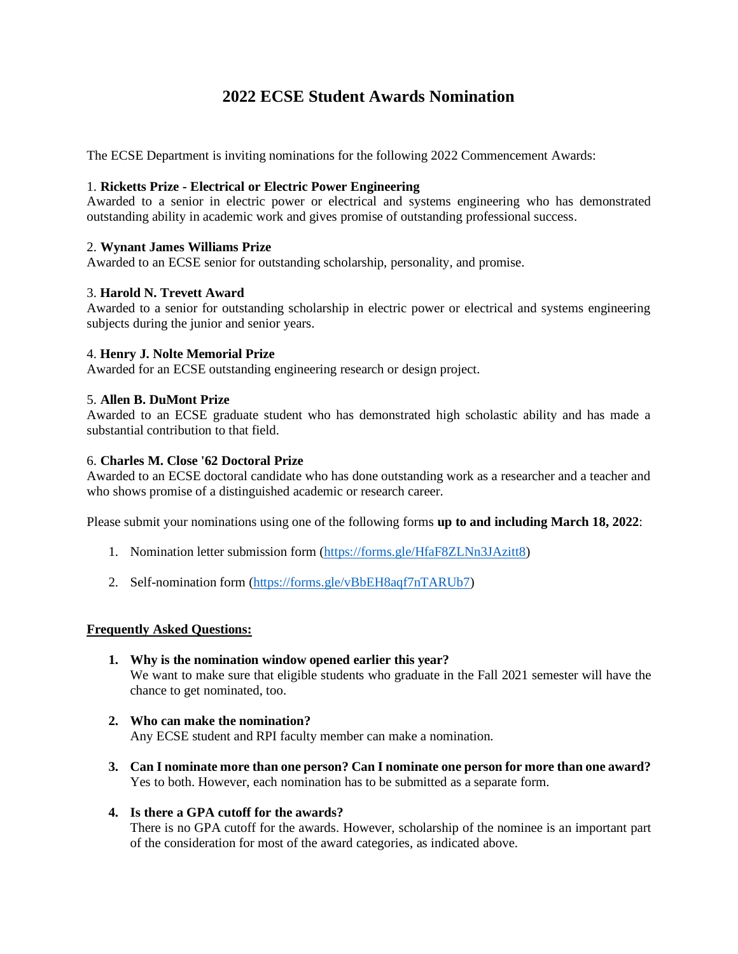# **2022 ECSE Student Awards Nomination**

The ECSE Department is inviting nominations for the following 2022 Commencement Awards:

## 1. **Ricketts Prize - Electrical or Electric Power Engineering**

Awarded to a senior in electric power or electrical and systems engineering who has demonstrated outstanding ability in academic work and gives promise of outstanding professional success.

## 2. **Wynant James Williams Prize**

Awarded to an ECSE senior for outstanding scholarship, personality, and promise.

## 3. **Harold N. Trevett Award**

Awarded to a senior for outstanding scholarship in electric power or electrical and systems engineering subjects during the junior and senior years.

## 4. **Henry J. Nolte Memorial Prize**

Awarded for an ECSE outstanding engineering research or design project.

#### 5. **Allen B. DuMont Prize**

Awarded to an ECSE graduate student who has demonstrated high scholastic ability and has made a substantial contribution to that field.

# 6. **Charles M. Close '62 Doctoral Prize**

Awarded to an ECSE doctoral candidate who has done outstanding work as a researcher and a teacher and who shows promise of a distinguished academic or research career.

Please submit your nominations using one of the following forms **up to and including March 18, 2022**:

- 1. Nomination letter submission form [\(https://forms.gle/HfaF8ZLNn3JAzitt8\)](https://forms.gle/HfaF8ZLNn3JAzitt8)
- 2. Self-nomination form [\(https://forms.gle/vBbEH8aqf7nTARUb7\)](https://forms.gle/vBbEH8aqf7nTARUb7)

#### **Frequently Asked Questions:**

- **1. Why is the nomination window opened earlier this year?** We want to make sure that eligible students who graduate in the Fall 2021 semester will have the chance to get nominated, too.
- **2. Who can make the nomination?** Any ECSE student and RPI faculty member can make a nomination.
- **3. Can I nominate more than one person? Can I nominate one person for more than one award?** Yes to both. However, each nomination has to be submitted as a separate form.
- **4. Is there a GPA cutoff for the awards?**

There is no GPA cutoff for the awards. However, scholarship of the nominee is an important part of the consideration for most of the award categories, as indicated above.